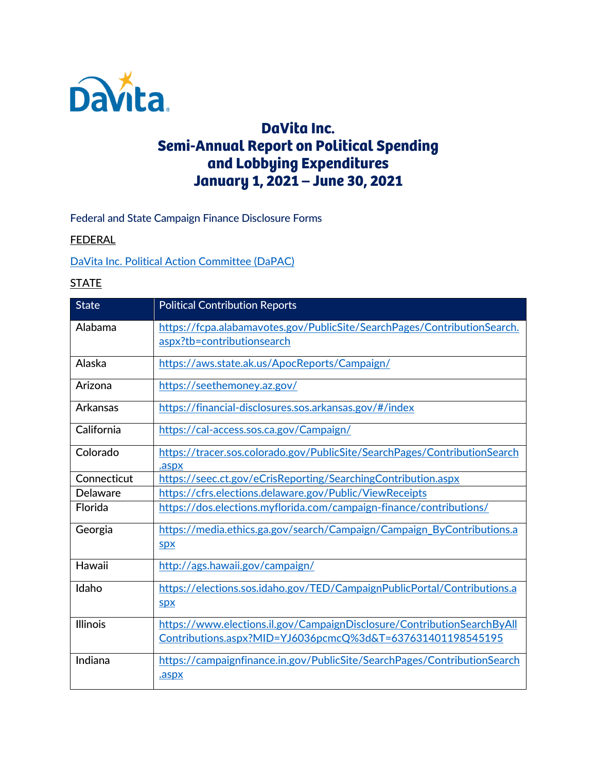

# **DaVita Inc. Semi-Annual Report on Political Spending and Lobbying Expenditures January 1, 2021 – June 30, 2021**

### Federal and State Campaign Finance Disclosure Forms

#### **FEDERAL**

[DaVita Inc. Political Action Committee](https://www.fec.gov/data/committee/C00340943/?tab=filings) (DaPAC)

### **STATE**

| <b>State</b>    | <b>Political Contribution Reports</b>                                                                                                 |
|-----------------|---------------------------------------------------------------------------------------------------------------------------------------|
| Alabama         | https://fcpa.alabamavotes.gov/PublicSite/SearchPages/ContributionSearch.<br>aspx?tb=contributionsearch                                |
| Alaska          | https://aws.state.ak.us/ApocReports/Campaign/                                                                                         |
| Arizona         | https://seethemoney.az.gov/                                                                                                           |
| Arkansas        | https://financial-disclosures.sos.arkansas.gov/#/index                                                                                |
| California      | https://cal-access.sos.ca.gov/Campaign/                                                                                               |
| Colorado        | https://tracer.sos.colorado.gov/PublicSite/SearchPages/ContributionSearch<br>.aspx                                                    |
| Connecticut     | https://seec.ct.gov/eCrisReporting/SearchingContribution.aspx                                                                         |
| Delaware        | https://cfrs.elections.delaware.gov/Public/ViewReceipts                                                                               |
| Florida         | https://dos.elections.myflorida.com/campaign-finance/contributions/                                                                   |
| Georgia         | https://media.ethics.ga.gov/search/Campaign/Campaign_ByContributions.a<br><u>spx</u>                                                  |
| Hawaii          | http://ags.hawaii.gov/campaign/                                                                                                       |
| Idaho           | https://elections.sos.idaho.gov/TED/CampaignPublicPortal/Contributions.a<br><b>Spx</b>                                                |
| <b>Illinois</b> | https://www.elections.il.gov/CampaignDisclosure/ContributionSearchByAll<br>Contributions.aspx?MID=YJ6036pcmcQ%3d&T=637631401198545195 |
| Indiana         | https://campaignfinance.in.gov/PublicSite/SearchPages/ContributionSearch<br>.aspx                                                     |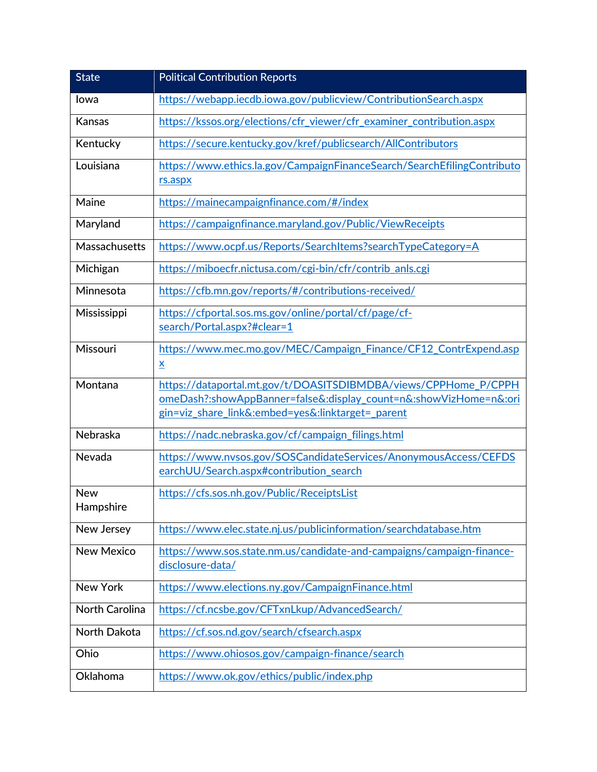| <b>State</b>            | <b>Political Contribution Reports</b>                                                                                                                                                     |  |
|-------------------------|-------------------------------------------------------------------------------------------------------------------------------------------------------------------------------------------|--|
| lowa                    | https://webapp.iecdb.iowa.gov/publicview/ContributionSearch.aspx                                                                                                                          |  |
| Kansas                  | https://kssos.org/elections/cfr_viewer/cfr_examiner_contribution.aspx                                                                                                                     |  |
| Kentucky                | https://secure.kentucky.gov/kref/publicsearch/AllContributors                                                                                                                             |  |
| Louisiana               | https://www.ethics.la.gov/CampaignFinanceSearch/SearchEfilingContributo<br>rs.aspx                                                                                                        |  |
| Maine                   | https://mainecampaignfinance.com/#/index                                                                                                                                                  |  |
| Maryland                | https://campaignfinance.maryland.gov/Public/ViewReceipts                                                                                                                                  |  |
| Massachusetts           | https://www.ocpf.us/Reports/SearchItems?searchTypeCategory=A                                                                                                                              |  |
| Michigan                | https://miboecfr.nictusa.com/cgi-bin/cfr/contrib_anls.cgi                                                                                                                                 |  |
| Minnesota               | https://cfb.mn.gov/reports/#/contributions-received/                                                                                                                                      |  |
| Mississippi             | https://cfportal.sos.ms.gov/online/portal/cf/page/cf-<br>search/Portal.aspx?#clear=1                                                                                                      |  |
| Missouri                | https://www.mec.mo.gov/MEC/Campaign_Finance/CF12_ContrExpend.asp<br>$\underline{\mathbf{x}}$                                                                                              |  |
| Montana                 | https://dataportal.mt.gov/t/DOASITSDIBMDBA/views/CPPHome_P/CPPH<br>omeDash?:showAppBanner=false&:display_count=n&:showVizHome=n&:ori<br>gin=viz share link&:embed=yes&:linktarget= parent |  |
| Nebraska                | https://nadc.nebraska.gov/cf/campaign_filings.html                                                                                                                                        |  |
| Nevada                  | https://www.nvsos.gov/SOSCandidateServices/AnonymousAccess/CEFDS<br>earchUU/Search.aspx#contribution_search                                                                               |  |
| <b>New</b><br>Hampshire | https://cfs.sos.nh.gov/Public/ReceiptsList                                                                                                                                                |  |
| New Jersey              | https://www.elec.state.nj.us/publicinformation/searchdatabase.htm                                                                                                                         |  |
| <b>New Mexico</b>       | https://www.sos.state.nm.us/candidate-and-campaigns/campaign-finance-<br>disclosure-data/                                                                                                 |  |
| <b>New York</b>         | https://www.elections.ny.gov/CampaignFinance.html                                                                                                                                         |  |
| <b>North Carolina</b>   | https://cf.ncsbe.gov/CFTxnLkup/AdvancedSearch/                                                                                                                                            |  |
| North Dakota            | https://cf.sos.nd.gov/search/cfsearch.aspx                                                                                                                                                |  |
| Ohio                    | https://www.ohiosos.gov/campaign-finance/search                                                                                                                                           |  |
| Oklahoma                | https://www.ok.gov/ethics/public/index.php                                                                                                                                                |  |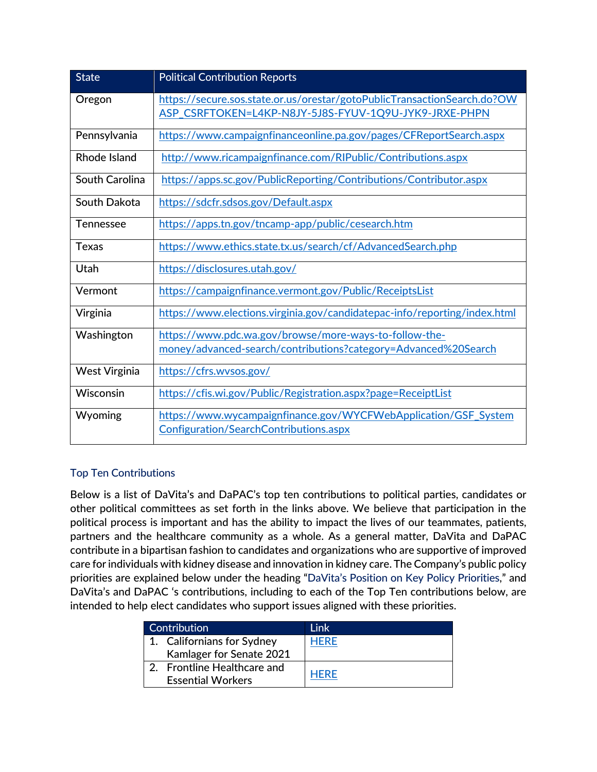| <b>State</b>         | <b>Political Contribution Reports</b>                                                                                             |
|----------------------|-----------------------------------------------------------------------------------------------------------------------------------|
| Oregon               | https://secure.sos.state.or.us/orestar/gotoPublicTransactionSearch.do?OW<br>ASP_CSRFTOKEN=L4KP-N8JY-5J8S-FYUV-1Q9U-JYK9-JRXE-PHPN |
| Pennsylvania         | https://www.campaignfinanceonline.pa.gov/pages/CFReportSearch.aspx                                                                |
| Rhode Island         | http://www.ricampaignfinance.com/RIPublic/Contributions.aspx                                                                      |
| South Carolina       | https://apps.sc.gov/PublicReporting/Contributions/Contributor.aspx                                                                |
| South Dakota         | https://sdcfr.sdsos.gov/Default.aspx                                                                                              |
| <b>Tennessee</b>     | https://apps.tn.gov/tncamp-app/public/cesearch.htm                                                                                |
| <b>Texas</b>         | https://www.ethics.state.tx.us/search/cf/AdvancedSearch.php                                                                       |
| Utah                 | https://disclosures.utah.gov/                                                                                                     |
| Vermont              | https://campaignfinance.vermont.gov/Public/ReceiptsList                                                                           |
| Virginia             | https://www.elections.virginia.gov/candidatepac-info/reporting/index.html                                                         |
| Washington           | https://www.pdc.wa.gov/browse/more-ways-to-follow-the-<br>money/advanced-search/contributions?category=Advanced%20Search          |
| <b>West Virginia</b> | https://cfrs.wysos.gov/                                                                                                           |
| Wisconsin            | https://cfis.wi.gov/Public/Registration.aspx?page=ReceiptList                                                                     |
| Wyoming              | https://www.wycampaignfinance.gov/WYCFWebApplication/GSF_System<br>Configuration/SearchContributions.aspx                         |

## Top Ten Contributions

Below is a list of DaVita's and DaPAC's top ten contributions to political parties, candidates or other political committees as set forth in the links above. We believe that participation in the political process is important and has the ability to impact the lives of our teammates, patients, partners and the healthcare community as a whole. As a general matter, DaVita and DaPAC contribute in a bipartisan fashion to candidates and organizations who are supportive of improved care for individuals with kidney disease and innovation in kidney care. The Company's public policy priorities are explained below under the heading "DaVita's Position on Key Policy Priorities," and DaVita's and DaPAC 's contributions, including to each of the Top Ten contributions below, are intended to help elect candidates who support issues aligned with these priorities.

| Contribution |                                                         | l ink |
|--------------|---------------------------------------------------------|-------|
|              | 1. Californians for Sydney                              | HFRF  |
|              | Kamlager for Senate 2021                                |       |
|              | 2. Frontline Healthcare and<br><b>Essential Workers</b> | HFRF  |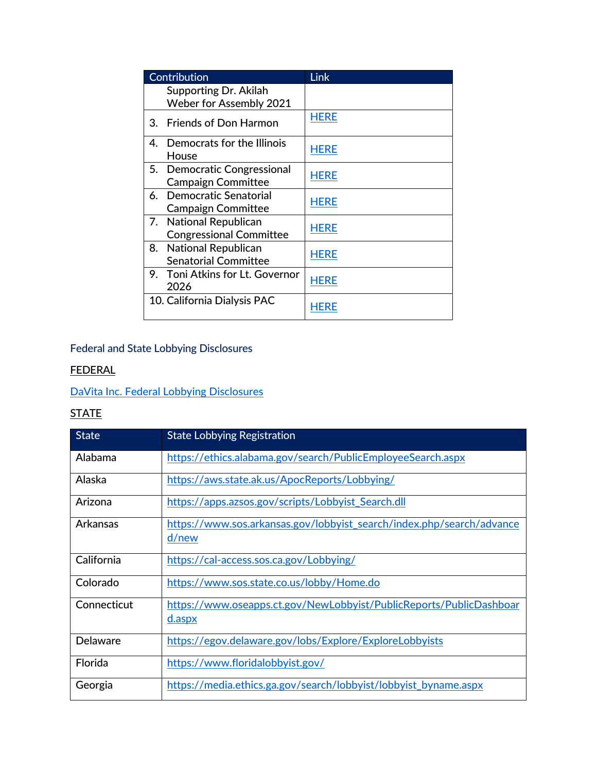| Contribution                                             | Link        |
|----------------------------------------------------------|-------------|
| Supporting Dr. Akilah<br><b>Weber for Assembly 2021</b>  |             |
| 3. Friends of Don Harmon                                 | <b>HERE</b> |
| 4. Democrats for the Illinois<br>House                   | <b>HERE</b> |
| 5. Democratic Congressional<br><b>Campaign Committee</b> | <b>HERE</b> |
| 6. Democratic Senatorial<br><b>Campaign Committee</b>    | <b>HERE</b> |
| 7. National Republican<br><b>Congressional Committee</b> | <b>HERE</b> |
| 8. National Republican<br><b>Senatorial Committee</b>    | <b>HERE</b> |
| 9. Toni Atkins for Lt. Governor<br>2026                  | <b>HERE</b> |
| 10. California Dialysis PAC                              | HERF        |

## Federal and State Lobbying Disclosures

## FEDERAL

## [DaVita Inc. Federal Lobbying Disclosures](https://disclosurespreview.house.gov/?index=%22lobbying-disclosures%22&size=10&keyword=%22davita%20inc.%22&sort=%5b%7b%22_score%22:true%7d,%7b%22field%22:%22registrant.name%22,%22order%22:%22asc%22%7d%5d)

## **STATE**

| <b>State</b>    | <b>State Lobbying Registration</b>                                             |
|-----------------|--------------------------------------------------------------------------------|
| Alabama         | https://ethics.alabama.gov/search/PublicEmployeeSearch.aspx                    |
| Alaska          | https://aws.state.ak.us/ApocReports/Lobbying/                                  |
| Arizona         | https://apps.azsos.gov/scripts/Lobbyist_Search.dll                             |
| Arkansas        | https://www.sos.arkansas.gov/lobbyist_search/index.php/search/advance<br>d/new |
| California      | https://cal-access.sos.ca.gov/Lobbying/                                        |
| Colorado        | https://www.sos.state.co.us/lobby/Home.do                                      |
| Connecticut     | https://www.oseapps.ct.gov/NewLobbyist/PublicReports/PublicDashboar<br>d.aspx  |
| <b>Delaware</b> | https://egov.delaware.gov/lobs/Explore/ExploreLobbyists                        |
| Florida         | https://www.floridalobbyist.gov/                                               |
| Georgia         | https://media.ethics.ga.gov/search/lobbyist/lobbyist_byname.aspx               |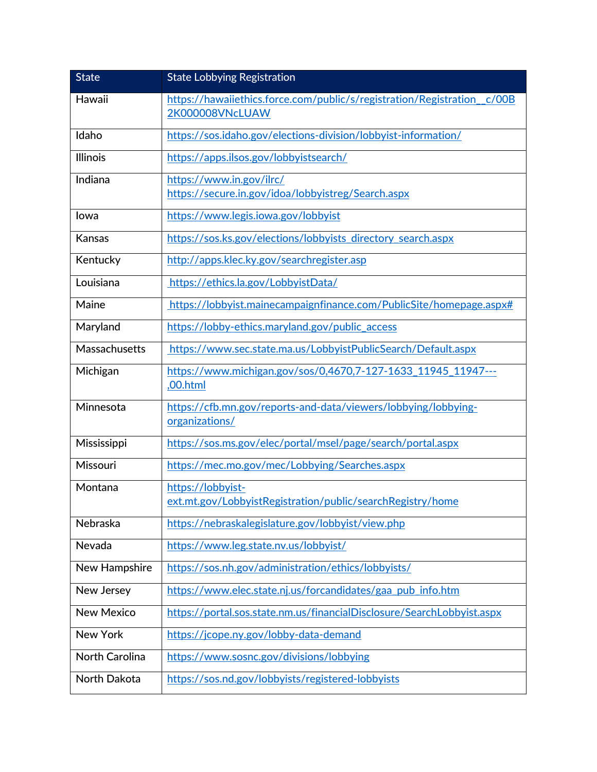| <b>State</b>          | <b>State Lobbying Registration</b>                                               |
|-----------------------|----------------------------------------------------------------------------------|
| Hawaii                | https://hawaiiethics.force.com/public/s/registration/Registration c/00B          |
|                       | 2K000008VNcLUAW                                                                  |
| Idaho                 | https://sos.idaho.gov/elections-division/lobbyist-information/                   |
| Illinois              | https://apps.ilsos.gov/lobbyistsearch/                                           |
| Indiana               | https://www.in.gov/ilrc/<br>https://secure.in.gov/idoa/lobbyistreg/Search.aspx   |
| lowa                  | https://www.legis.iowa.gov/lobbyist                                              |
| Kansas                | https://sos.ks.gov/elections/lobbyists_directory_search.aspx                     |
| Kentucky              | http://apps.klec.ky.gov/searchregister.asp                                       |
| Louisiana             | https://ethics.la.gov/LobbyistData/                                              |
| Maine                 | https://lobbyist.mainecampaignfinance.com/PublicSite/homepage.aspx#              |
| Maryland              | https://lobby-ethics.maryland.gov/public_access                                  |
| <b>Massachusetts</b>  | https://www.sec.state.ma.us/LobbyistPublicSearch/Default.aspx                    |
| Michigan              | https://www.michigan.gov/sos/0,4670,7-127-1633 11945 11947---<br>,00.html        |
| Minnesota             | https://cfb.mn.gov/reports-and-data/viewers/lobbying/lobbying-<br>organizations/ |
| Mississippi           | https://sos.ms.gov/elec/portal/msel/page/search/portal.aspx                      |
| Missouri              | https://mec.mo.gov/mec/Lobbying/Searches.aspx                                    |
| Montana               | https://lobbyist-<br>ext.mt.gov/LobbyistRegistration/public/searchRegistry/home  |
| Nebraska              | https://nebraskalegislature.gov/lobbyist/view.php                                |
| Nevada                | https://www.leg.state.nv.us/lobbyist/                                            |
| New Hampshire         | https://sos.nh.gov/administration/ethics/lobbyists/                              |
| New Jersey            | https://www.elec.state.nj.us/forcandidates/gaa_pub_info.htm                      |
| <b>New Mexico</b>     | https://portal.sos.state.nm.us/financialDisclosure/SearchLobbyist.aspx           |
| <b>New York</b>       | https://jcope.ny.gov/lobby-data-demand                                           |
| <b>North Carolina</b> | https://www.sosnc.gov/divisions/lobbying                                         |
| North Dakota          | https://sos.nd.gov/lobbyists/registered-lobbyists                                |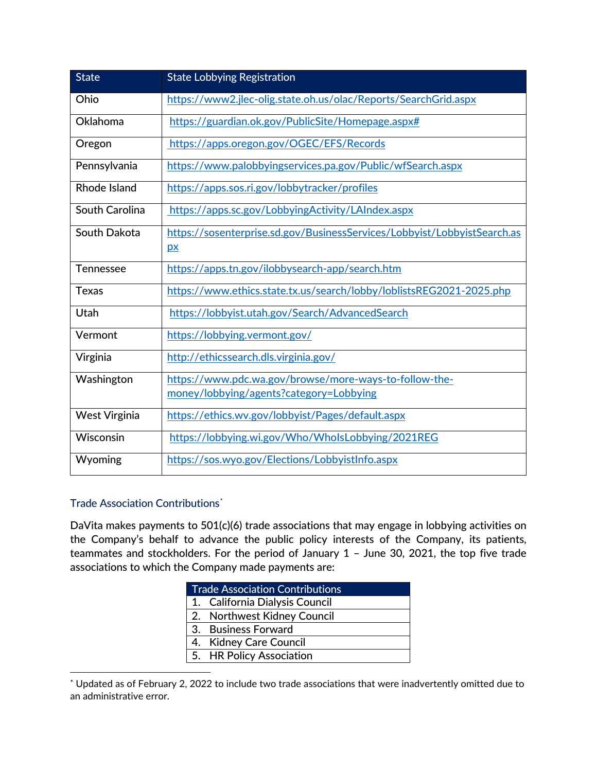| <b>State</b>         | <b>State Lobbying Registration</b>                                                                |
|----------------------|---------------------------------------------------------------------------------------------------|
| Ohio                 | https://www2.jlec-olig.state.oh.us/olac/Reports/SearchGrid.aspx                                   |
| <b>Oklahoma</b>      | https://guardian.ok.gov/PublicSite/Homepage.aspx#                                                 |
| Oregon               | https://apps.oregon.gov/OGEC/EFS/Records                                                          |
| Pennsylvania         | https://www.palobbyingservices.pa.gov/Public/wfSearch.aspx                                        |
| <b>Rhode Island</b>  | https://apps.sos.ri.gov/lobbytracker/profiles                                                     |
| South Carolina       | https://apps.sc.gov/LobbyingActivity/LAIndex.aspx                                                 |
| South Dakota         | https://sosenterprise.sd.gov/BusinessServices/Lobbyist/LobbyistSearch.as<br>$\mathbf{p}$          |
| Tennessee            | https://apps.tn.gov/ilobbysearch-app/search.htm                                                   |
| <b>Texas</b>         | https://www.ethics.state.tx.us/search/lobby/loblistsREG2021-2025.php                              |
| Utah                 | https://lobbyist.utah.gov/Search/AdvancedSearch                                                   |
| Vermont              | https://lobbying.vermont.gov/                                                                     |
| Virginia             | http://ethicssearch.dls.virginia.gov/                                                             |
| Washington           | https://www.pdc.wa.gov/browse/more-ways-to-follow-the-<br>money/lobbying/agents?category=Lobbying |
| <b>West Virginia</b> | https://ethics.wv.gov/lobbyist/Pages/default.aspx                                                 |
| Wisconsin            | https://lobbying.wi.gov/Who/WholsLobbying/2021REG                                                 |
| Wyoming              | https://sos.wyo.gov/Elections/LobbyistInfo.aspx                                                   |

### Trade Association Contributions[\\*](#page-5-0)

DaVita makes payments to 501(c)(6) trade associations that may engage in lobbying activities on the Company's behalf to advance the public policy interests of the Company, its patients, teammates and stockholders. For the period of January 1 – June 30, 2021, the top five trade associations to which the Company made payments are:

| <b>Trade Association Contributions</b> |  |
|----------------------------------------|--|
| 1. California Dialysis Council         |  |
| 2. Northwest Kidney Council            |  |
| 3. Business Forward                    |  |
| 4. Kidney Care Council                 |  |
| 5. HR Policy Association               |  |
|                                        |  |

<span id="page-5-0"></span> \* Updated as of February 2, 2022 to include two trade associations that were inadvertently omitted due to an administrative error.